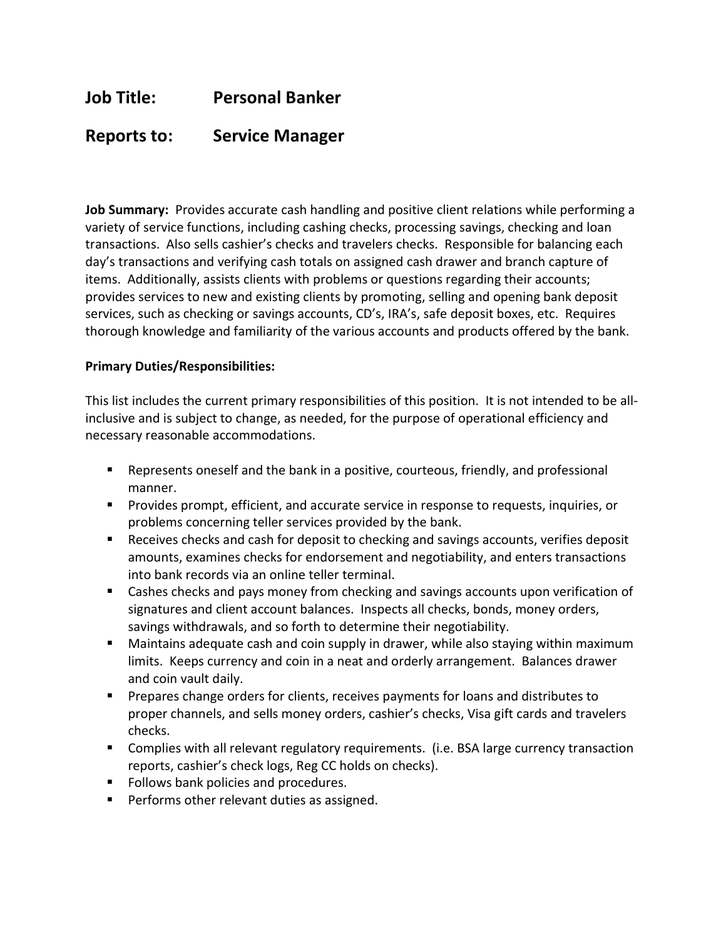# Job Title: Personal Banker

## Reports to: Service Manager

Job Summary: Provides accurate cash handling and positive client relations while performing a variety of service functions, including cashing checks, processing savings, checking and loan transactions. Also sells cashier's checks and travelers checks. Responsible for balancing each day's transactions and verifying cash totals on assigned cash drawer and branch capture of items. Additionally, assists clients with problems or questions regarding their accounts; provides services to new and existing clients by promoting, selling and opening bank deposit services, such as checking or savings accounts, CD's, IRA's, safe deposit boxes, etc. Requires thorough knowledge and familiarity of the various accounts and products offered by the bank.

#### Primary Duties/Responsibilities:

This list includes the current primary responsibilities of this position. It is not intended to be allinclusive and is subject to change, as needed, for the purpose of operational efficiency and necessary reasonable accommodations.

- Represents oneself and the bank in a positive, courteous, friendly, and professional manner.
- **Provides prompt, efficient, and accurate service in response to requests, inquiries, or** problems concerning teller services provided by the bank.
- **Receives checks and cash for deposit to checking and savings accounts, verifies deposit** amounts, examines checks for endorsement and negotiability, and enters transactions into bank records via an online teller terminal.
- Cashes checks and pays money from checking and savings accounts upon verification of signatures and client account balances. Inspects all checks, bonds, money orders, savings withdrawals, and so forth to determine their negotiability.
- Maintains adequate cash and coin supply in drawer, while also staying within maximum limits. Keeps currency and coin in a neat and orderly arrangement. Balances drawer and coin vault daily.
- **Prepares change orders for clients, receives payments for loans and distributes to** proper channels, and sells money orders, cashier's checks, Visa gift cards and travelers checks.
- Complies with all relevant regulatory requirements. (i.e. BSA large currency transaction reports, cashier's check logs, Reg CC holds on checks).
- Follows bank policies and procedures.
- **Performs other relevant duties as assigned.**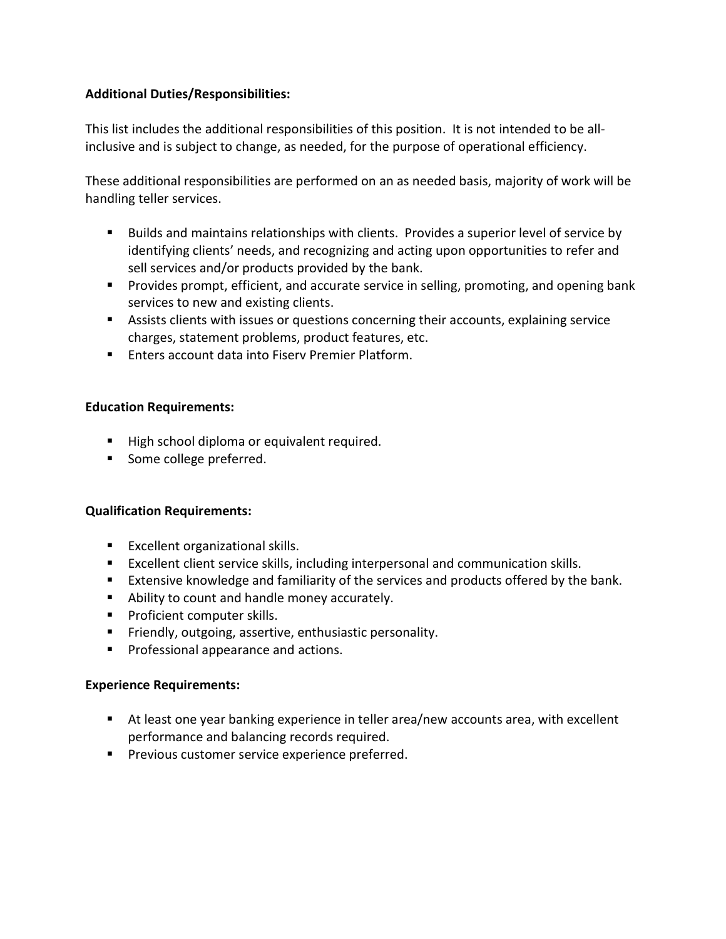### Additional Duties/Responsibilities:

This list includes the additional responsibilities of this position. It is not intended to be allinclusive and is subject to change, as needed, for the purpose of operational efficiency.

These additional responsibilities are performed on an as needed basis, majority of work will be handling teller services.

- Builds and maintains relationships with clients. Provides a superior level of service by identifying clients' needs, and recognizing and acting upon opportunities to refer and sell services and/or products provided by the bank.
- **Provides prompt, efficient, and accurate service in selling, promoting, and opening bank** services to new and existing clients.
- Assists clients with issues or questions concerning their accounts, explaining service charges, statement problems, product features, etc.
- **Enters account data into Fisery Premier Platform.**

### Education Requirements:

- High school diploma or equivalent required.
- Some college preferred.

#### Qualification Requirements:

- **Excellent organizational skills.**
- Excellent client service skills, including interpersonal and communication skills.
- Extensive knowledge and familiarity of the services and products offered by the bank.
- Ability to count and handle money accurately.
- **Proficient computer skills.**
- **Fiendly, outgoing, assertive, enthusiastic personality.**
- **Professional appearance and actions.**

#### Experience Requirements:

- At least one year banking experience in teller area/new accounts area, with excellent performance and balancing records required.
- **Previous customer service experience preferred.**